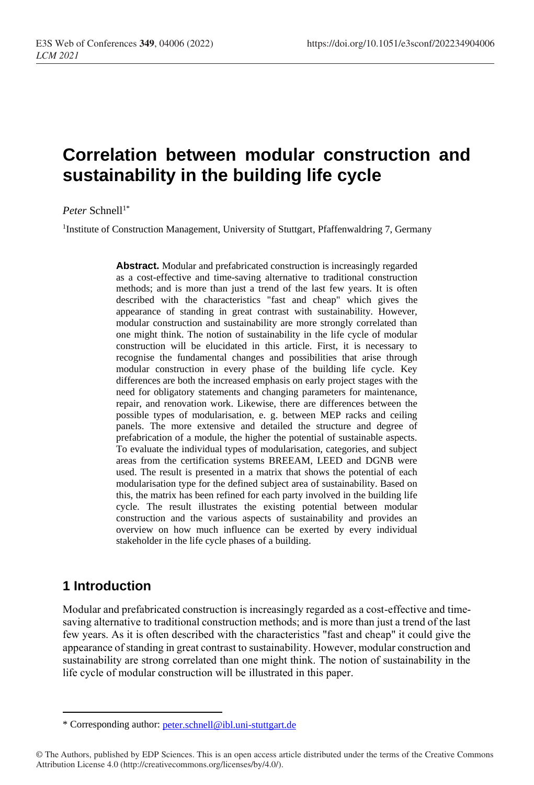# **Correlation between modular construction and sustainability in the building life cycle**

Peter Schnell<sup>1\*</sup>

<sup>1</sup>Institute of Construction Management, University of Stuttgart, Pfaffenwaldring 7, Germany

**Abstract.** Modular and prefabricated construction is increasingly regarded as a cost-effective and time-saving alternative to traditional construction methods; and is more than just a trend of the last few years. It is often described with the characteristics "fast and cheap" which gives the appearance of standing in great contrast with sustainability. However, modular construction and sustainability are more strongly correlated than one might think. The notion of sustainability in the life cycle of modular construction will be elucidated in this article. First, it is necessary to recognise the fundamental changes and possibilities that arise through modular construction in every phase of the building life cycle. Key differences are both the increased emphasis on early project stages with the need for obligatory statements and changing parameters for maintenance, repair, and renovation work. Likewise, there are differences between the possible types of modularisation, e. g. between MEP racks and ceiling panels. The more extensive and detailed the structure and degree of prefabrication of a module, the higher the potential of sustainable aspects. To evaluate the individual types of modularisation, categories, and subject areas from the certification systems BREEAM, LEED and DGNB were used. The result is presented in a matrix that shows the potential of each modularisation type for the defined subject area of sustainability. Based on this, the matrix has been refined for each party involved in the building life cycle. The result illustrates the existing potential between modular construction and the various aspects of sustainability and provides an overview on how much influence can be exerted by every individual stakeholder in the life cycle phases of a building.

#### **1 Introduction**

Modular and prefabricated construction is increasingly regarded as a cost-effective and timesaving alternative to traditional construction methods; and is more than just a trend of the last few years. As it is often described with the characteristics "fast and cheap" it could give the appearance of standing in great contrast to sustainability. However, modular construction and sustainability are strong correlated than one might think. The notion of sustainability in the life cycle of modular construction will be illustrated in this paper.

<sup>\*</sup> Corresponding author: [peter.schnell@ibl.uni-stuttgart.de](mailto:peter.schnell@ibl.uni-stuttgart.de)

<sup>©</sup> The Authors, published by EDP Sciences. This is an open access article distributed under the terms of the Creative Commons Attribution License 4.0 (http://creativecommons.org/licenses/by/4.0/).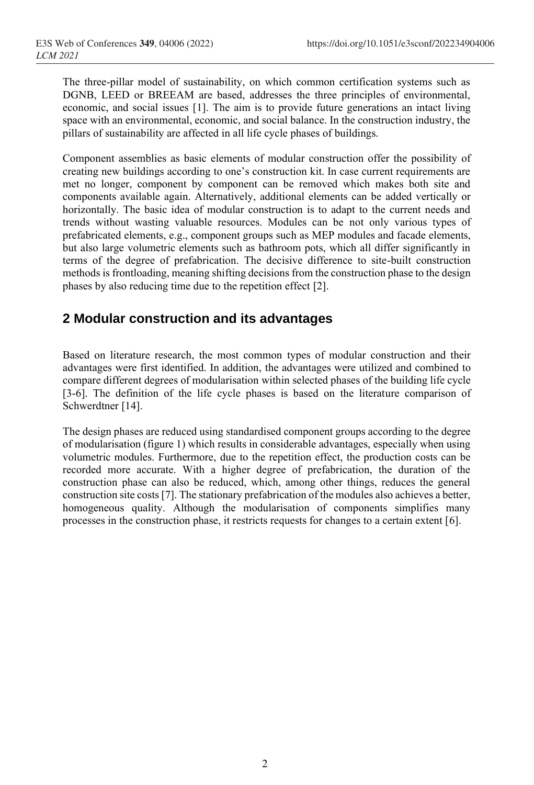The three-pillar model of sustainability, on which common certification systems such as DGNB, LEED or BREEAM are based, addresses the three principles of environmental, economic, and social issues [1]. The aim is to provide future generations an intact living space with an environmental, economic, and social balance. In the construction industry, the pillars of sustainability are affected in all life cycle phases of buildings.

Component assemblies as basic elements of modular construction offer the possibility of creating new buildings according to one's construction kit. In case current requirements are met no longer, component by component can be removed which makes both site and components available again. Alternatively, additional elements can be added vertically or horizontally. The basic idea of modular construction is to adapt to the current needs and trends without wasting valuable resources. Modules can be not only various types of prefabricated elements, e.g., component groups such as MEP modules and facade elements, but also large volumetric elements such as bathroom pots, which all differ significantly in terms of the degree of prefabrication. The decisive difference to site-built construction methods is frontloading, meaning shifting decisions from the construction phase to the design phases by also reducing time due to the repetition effect [2].

### **2 Modular construction and its advantages**

Based on literature research, the most common types of modular construction and their advantages were first identified. In addition, the advantages were utilized and combined to compare different degrees of modularisation within selected phases of the building life cycle [3-6]. The definition of the life cycle phases is based on the literature comparison of Schwerdtner [14].

The design phases are reduced using standardised component groups according to the degree of modularisation (figure 1) which results in considerable advantages, especially when using volumetric modules. Furthermore, due to the repetition effect, the production costs can be recorded more accurate. With a higher degree of prefabrication, the duration of the construction phase can also be reduced, which, among other things, reduces the general construction site costs [7]. The stationary prefabrication of the modules also achieves a better, homogeneous quality. Although the modularisation of components simplifies many processes in the construction phase, it restricts requests for changes to a certain extent [6].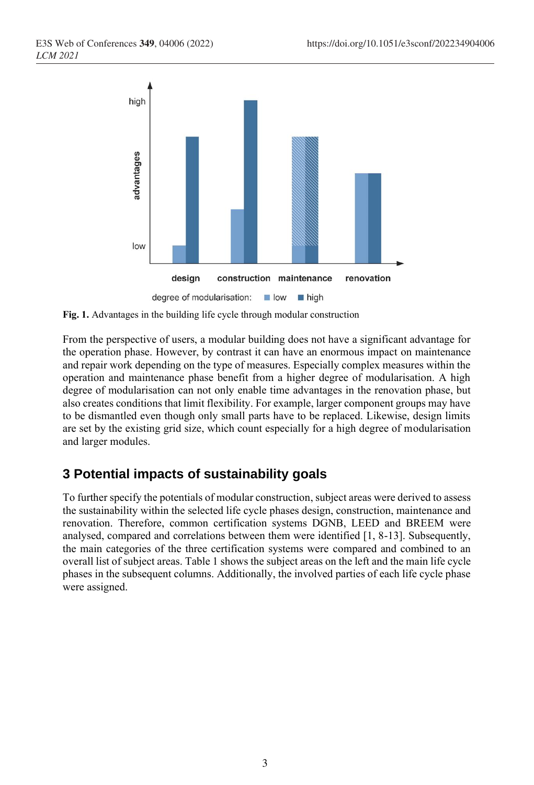

**Fig. 1.** Advantages in the building life cycle through modular construction

From the perspective of users, a modular building does not have a significant advantage for the operation phase. However, by contrast it can have an enormous impact on maintenance and repair work depending on the type of measures. Especially complex measures within the operation and maintenance phase benefit from a higher degree of modularisation. A high degree of modularisation can not only enable time advantages in the renovation phase, but also creates conditions that limit flexibility. For example, larger component groups may have to be dismantled even though only small parts have to be replaced. Likewise, design limits are set by the existing grid size, which count especially for a high degree of modularisation and larger modules.

## **3 Potential impacts of sustainability goals**

To further specify the potentials of modular construction, subject areas were derived to assess the sustainability within the selected life cycle phases design, construction, maintenance and renovation. Therefore, common certification systems DGNB, LEED and BREEM were analysed, compared and correlations between them were identified [1, 8-13]. Subsequently, the main categories of the three certification systems were compared and combined to an overall list of subject areas. Table 1 shows the subject areas on the left and the main life cycle phases in the subsequent columns. Additionally, the involved parties of each life cycle phase were assigned.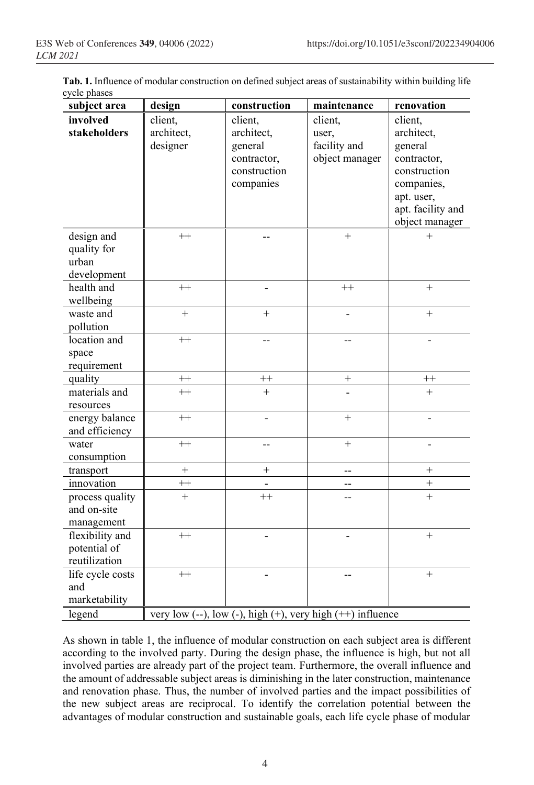| Tab. 1. Influence of modular construction on defined subject areas of sustainability within building life |  |
|-----------------------------------------------------------------------------------------------------------|--|
| cycle phases                                                                                              |  |

| subject area                                      | design                            | construction                                                                 | maintenance                                                | renovation                                                                                                                         |
|---------------------------------------------------|-----------------------------------|------------------------------------------------------------------------------|------------------------------------------------------------|------------------------------------------------------------------------------------------------------------------------------------|
| involved<br>stakeholders                          | client,<br>architect,<br>designer | client,<br>architect,<br>general<br>contractor,<br>construction<br>companies | client,<br>user,<br>facility and<br>object manager         | client,<br>architect,<br>general<br>contractor,<br>construction<br>companies,<br>apt. user,<br>apt. facility and<br>object manager |
| design and<br>quality for<br>urban<br>development | $^{++}$                           |                                                                              | $^{+}$                                                     | $^{+}$                                                                                                                             |
| health and<br>wellbeing                           | $^{++}$                           |                                                                              | $^{++}$                                                    | $+$                                                                                                                                |
| waste and<br>pollution                            | $\ddot{}$                         | $+$                                                                          |                                                            | $+$                                                                                                                                |
| location and<br>space<br>requirement              | $^{++}$                           | $-$                                                                          |                                                            |                                                                                                                                    |
| quality                                           | $^{++}$                           | $++$                                                                         | $^{+}$                                                     | $^{++}$                                                                                                                            |
| materials and<br>resources                        | $^{++}$                           | $+$                                                                          |                                                            | $^{+}$                                                                                                                             |
| energy balance<br>and efficiency                  | $++$                              |                                                                              | $^{+}$                                                     |                                                                                                                                    |
| water<br>consumption                              | $++$                              | --                                                                           | $^{+}$                                                     | $\overline{\phantom{0}}$                                                                                                           |
| transport                                         | $^{+}$                            | $^{+}$                                                                       | --                                                         | $^{+}$                                                                                                                             |
| innovation                                        | $^{++}$                           | $\overline{\phantom{0}}$                                                     | --                                                         | $^{+}$                                                                                                                             |
| process quality<br>and on-site<br>management      | $^{+}$                            | $++$                                                                         |                                                            | $+$                                                                                                                                |
| flexibility and<br>potential of<br>reutilization  | $++$                              |                                                                              |                                                            | $+$                                                                                                                                |
| life cycle costs<br>and<br>marketability          | $++$                              |                                                                              |                                                            | $+$                                                                                                                                |
| legend                                            |                                   |                                                                              | very low (--), low (-), high (+), very high (++) influence |                                                                                                                                    |

As shown in table 1, the influence of modular construction on each subject area is different according to the involved party. During the design phase, the influence is high, but not all involved parties are already part of the project team. Furthermore, the overall influence and the amount of addressable subject areas is diminishing in the later construction, maintenance and renovation phase. Thus, the number of involved parties and the impact possibilities of the new subject areas are reciprocal. To identify the correlation potential between the advantages of modular construction and sustainable goals, each life cycle phase of modular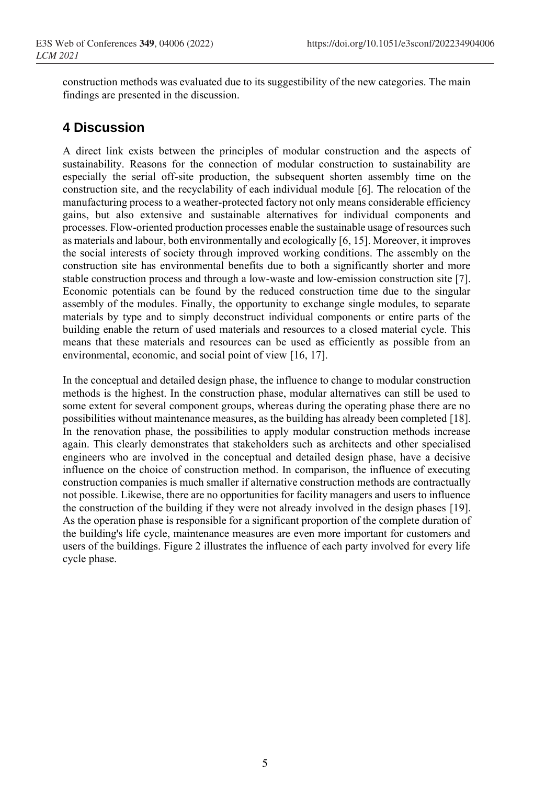construction methods was evaluated due to its suggestibility of the new categories. The main findings are presented in the discussion.

## **4 Discussion**

A direct link exists between the principles of modular construction and the aspects of sustainability. Reasons for the connection of modular construction to sustainability are especially the serial off-site production, the subsequent shorten assembly time on the construction site, and the recyclability of each individual module [6]. The relocation of the manufacturing process to a weather-protected factory not only means considerable efficiency gains, but also extensive and sustainable alternatives for individual components and processes. Flow-oriented production processes enable the sustainable usage of resources such as materials and labour, both environmentally and ecologically [6, 15]. Moreover, it improves the social interests of society through improved working conditions. The assembly on the construction site has environmental benefits due to both a significantly shorter and more stable construction process and through a low-waste and low-emission construction site [7]. Economic potentials can be found by the reduced construction time due to the singular assembly of the modules. Finally, the opportunity to exchange single modules, to separate materials by type and to simply deconstruct individual components or entire parts of the building enable the return of used materials and resources to a closed material cycle. This means that these materials and resources can be used as efficiently as possible from an environmental, economic, and social point of view [16, 17].

In the conceptual and detailed design phase, the influence to change to modular construction methods is the highest. In the construction phase, modular alternatives can still be used to some extent for several component groups, whereas during the operating phase there are no possibilities without maintenance measures, as the building has already been completed [18]. In the renovation phase, the possibilities to apply modular construction methods increase again. This clearly demonstrates that stakeholders such as architects and other specialised engineers who are involved in the conceptual and detailed design phase, have a decisive influence on the choice of construction method. In comparison, the influence of executing construction companies is much smaller if alternative construction methods are contractually not possible. Likewise, there are no opportunities for facility managers and users to influence the construction of the building if they were not already involved in the design phases [19]. As the operation phase is responsible for a significant proportion of the complete duration of the building's life cycle, maintenance measures are even more important for customers and users of the buildings. Figure 2 illustrates the influence of each party involved for every life cycle phase.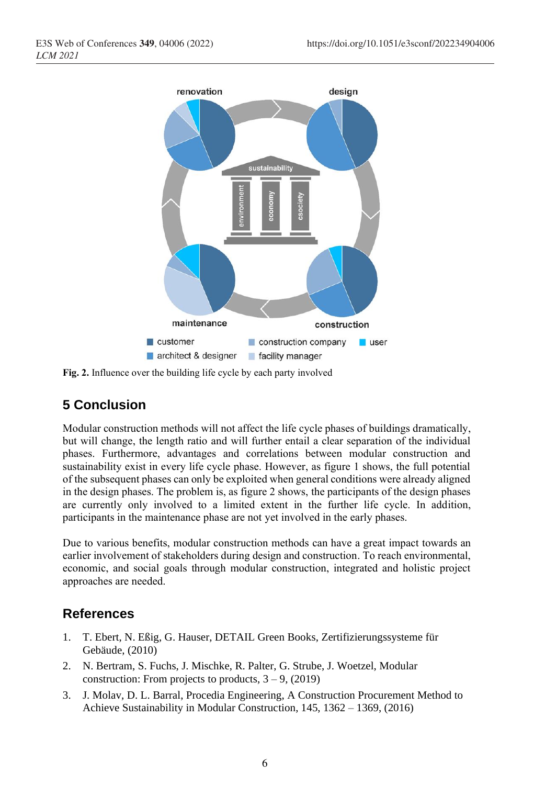

**Fig. 2.** Influence over the building life cycle by each party involved

## **5 Conclusion**

Modular construction methods will not affect the life cycle phases of buildings dramatically, but will change, the length ratio and will further entail a clear separation of the individual phases. Furthermore, advantages and correlations between modular construction and sustainability exist in every life cycle phase. However, as figure 1 shows, the full potential of the subsequent phases can only be exploited when general conditions were already aligned in the design phases. The problem is, as figure 2 shows, the participants of the design phases are currently only involved to a limited extent in the further life cycle. In addition, participants in the maintenance phase are not yet involved in the early phases.

Due to various benefits, modular construction methods can have a great impact towards an earlier involvement of stakeholders during design and construction. To reach environmental, economic, and social goals through modular construction, integrated and holistic project approaches are needed.

## **References**

- 1. T. Ebert, N. Eßig, G. Hauser, DETAIL Green Books, Zertifizierungssysteme für Gebäude, (2010)
- 2. N. Bertram, S. Fuchs, J. Mischke, R. Palter, G. Strube, J. Woetzel, Modular construction: From projects to products,  $3 - 9$ , (2019)
- 3. J. Molav, D. L. Barral, Procedia Engineering, A Construction Procurement Method to Achieve Sustainability in Modular Construction, 145, 1362 – 1369, (2016)